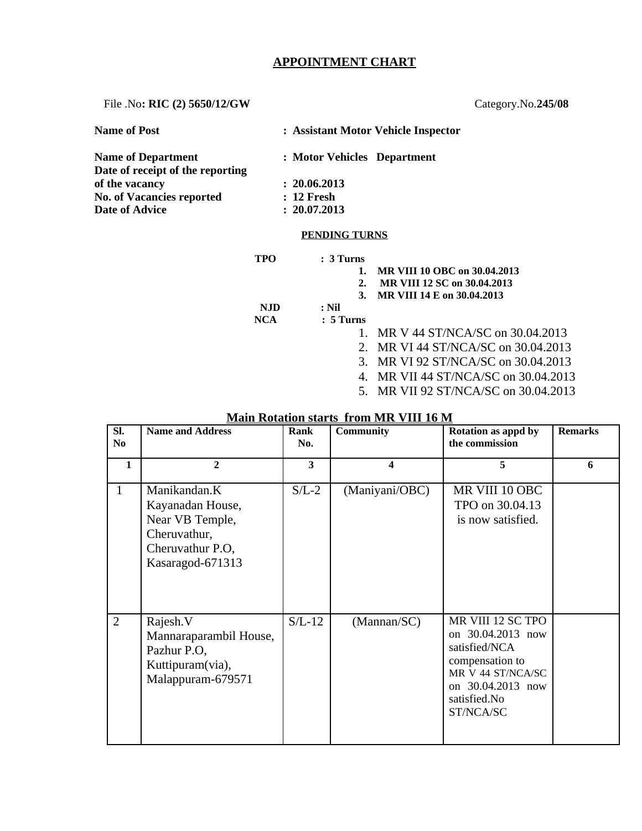## **APPOINTMENT CHART**

File .No**: RIC (2) 5650/12/GW** Category.No.**245/08**

| <b>Name of Post</b>              | : Assistant Motor Vehicle Inspector |
|----------------------------------|-------------------------------------|
| <b>Name of Department</b>        | : Motor Vehicles Department         |
| Date of receipt of the reporting |                                     |
| of the vacancy                   | : 20.06.2013                        |
| <b>No. of Vacancies reported</b> | : 12 Fresh                          |
| <b>Date of Advice</b>            | : 20.07.2013                        |
|                                  | <b>PENDING TURNS</b>                |

**TPO : 3 Turns**

**1. MR VIII 10 OBC on 30.04.2013**

**2. MR VIII 12 SC on 30.04.2013**

**3. MR VIII 14 E on 30.04.2013**

 **NJD : Nil**

- **NCA : 5 Turns**
	- 1. MR V 44 ST/NCA/SC on 30.04.2013
	- 2. MR VI 44 ST/NCA/SC on 30.04.2013
	- 3. MR VI 92 ST/NCA/SC on 30.04.2013
	- 4. MR VII 44 ST/NCA/SC on 30.04.2013
	- 5. MR VII 92 ST/NCA/SC on 30.04.2013

| SI.<br>No      | <b>Name and Address</b>                                                                                     | Rank<br>No. | <b>Community</b> | Rotation as appd by<br>the commission                                                                                                             | <b>Remarks</b> |
|----------------|-------------------------------------------------------------------------------------------------------------|-------------|------------------|---------------------------------------------------------------------------------------------------------------------------------------------------|----------------|
| 1              | $\overline{2}$                                                                                              | 3           | 4                | 5                                                                                                                                                 | 6              |
| $\mathbf{1}$   | Manikandan.K<br>Kayanadan House,<br>Near VB Temple,<br>Cheruvathur,<br>Cheruvathur P.O.<br>Kasaragod-671313 | $S/L-2$     | (Maniyani/OBC)   | MR VIII 10 OBC<br>TPO on 30.04.13<br>is now satisfied.                                                                                            |                |
| $\overline{2}$ | Rajesh.V<br>Mannaraparambil House,<br>Pazhur P.O,<br>Kuttipuram(via),<br>Malappuram-679571                  | $S/L-12$    | (Mannan/SC)      | MR VIII 12 SC TPO<br>on 30.04.2013 now<br>satisfied/NCA<br>compensation to<br>MR V 44 ST/NCA/SC<br>on 30.04.2013 now<br>satisfied.No<br>ST/NCA/SC |                |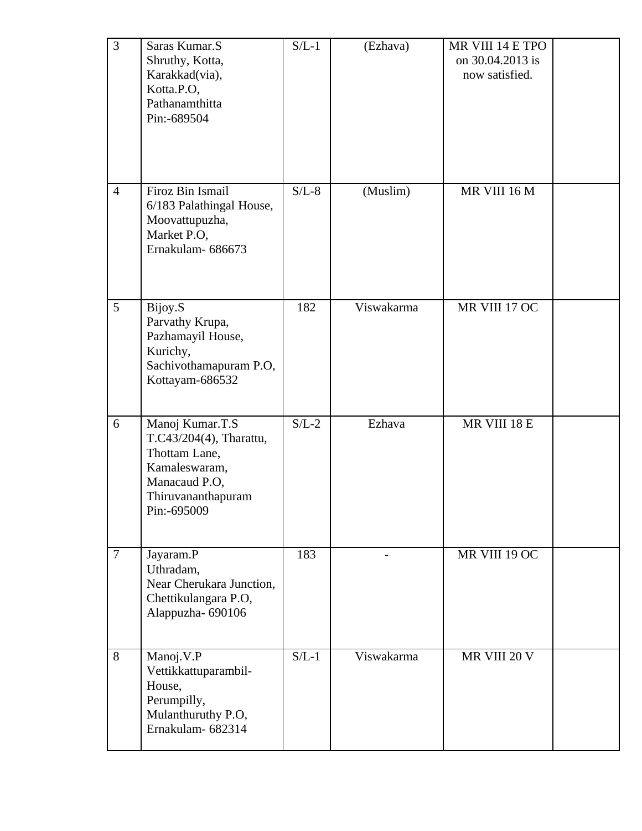| 3              | Saras Kumar.S<br>Shruthy, Kotta,<br>Karakkad(via),<br>Kotta.P.O,<br>Pathanamthitta<br>Pin:-689504                                  | $S/L-1$ | (Ezhava)   | MR VIII 14 E TPO<br>on 30.04.2013 is<br>now satisfied. |  |
|----------------|------------------------------------------------------------------------------------------------------------------------------------|---------|------------|--------------------------------------------------------|--|
| $\overline{4}$ | Firoz Bin Ismail<br>6/183 Palathingal House,<br>Moovattupuzha,<br>Market P.O,<br>Ernakulam-686673                                  | $S/L-8$ | (Muslim)   | MR VIII 16 M                                           |  |
| 5              | Bijoy.S<br>Parvathy Krupa,<br>Pazhamayil House,<br>Kurichy,<br>Sachivothamapuram P.O,<br>Kottayam-686532                           | 182     | Viswakarma | MR VIII 17 OC                                          |  |
| 6              | Manoj Kumar.T.S<br>T.C43/204(4), Tharattu,<br>Thottam Lane,<br>Kamaleswaram,<br>Manacaud P.O,<br>Thiruvananthapuram<br>Pin:-695009 | $S/L-2$ | Ezhava     | MR VIII 18 E                                           |  |
| $\overline{7}$ | Jayaram.P<br>Uthradam,<br>Near Cherukara Junction,<br>Chettikulangara P.O,<br>Alappuzha-690106                                     | 183     |            | MR VIII 19 OC                                          |  |
| 8              | Manoj.V.P<br>Vettikkattuparambil-<br>House,<br>Perumpilly,<br>Mulanthuruthy P.O,<br>Ernakulam-682314                               | $S/L-1$ | Viswakarma | MR VIII 20 V                                           |  |